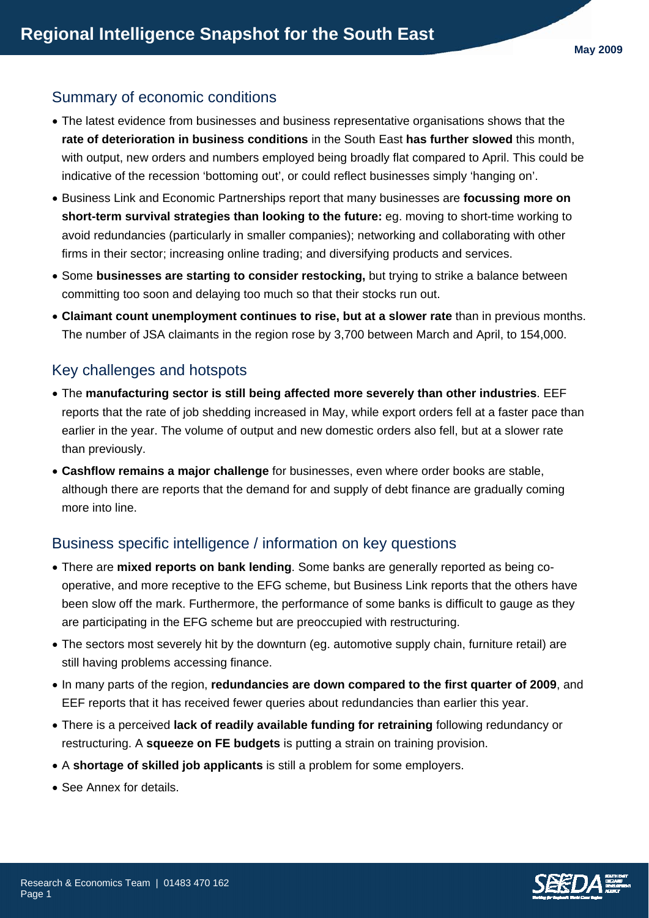## Summary of economic conditions

- The latest evidence from businesses and business representative organisations shows that the **rate of deterioration in business conditions** in the South East **has further slowed** this month, with output, new orders and numbers employed being broadly flat compared to April. This could be indicative of the recession 'bottoming out', or could reflect businesses simply 'hanging on'.
- Business Link and Economic Partnerships report that many businesses are **focussing more on short-term survival strategies than looking to the future:** eg. moving to short-time working to avoid redundancies (particularly in smaller companies); networking and collaborating with other firms in their sector; increasing online trading; and diversifying products and services.
- Some **businesses are starting to consider restocking,** but trying to strike a balance between committing too soon and delaying too much so that their stocks run out.
- **Claimant count unemployment continues to rise, but at a slower rate** than in previous months. The number of JSA claimants in the region rose by 3,700 between March and April, to 154,000.

## Key challenges and hotspots

- The **manufacturing sector is still being affected more severely than other industries**. EEF reports that the rate of job shedding increased in May, while export orders fell at a faster pace than earlier in the year. The volume of output and new domestic orders also fell, but at a slower rate than previously.
- **Cashflow remains a major challenge** for businesses, even where order books are stable, although there are reports that the demand for and supply of debt finance are gradually coming more into line.

## Business specific intelligence / information on key questions

- There are **mixed reports on bank lending**. Some banks are generally reported as being cooperative, and more receptive to the EFG scheme, but Business Link reports that the others have been slow off the mark. Furthermore, the performance of some banks is difficult to gauge as they are participating in the EFG scheme but are preoccupied with restructuring.
- The sectors most severely hit by the downturn (eg. automotive supply chain, furniture retail) are still having problems accessing finance.
- In many parts of the region, **redundancies are down compared to the first quarter of 2009**, and EEF reports that it has received fewer queries about redundancies than earlier this year.
- There is a perceived **lack of readily available funding for retraining** following redundancy or restructuring. A **squeeze on FE budgets** is putting a strain on training provision.
- A **shortage of skilled job applicants** is still a problem for some employers.
- See Annex for details.

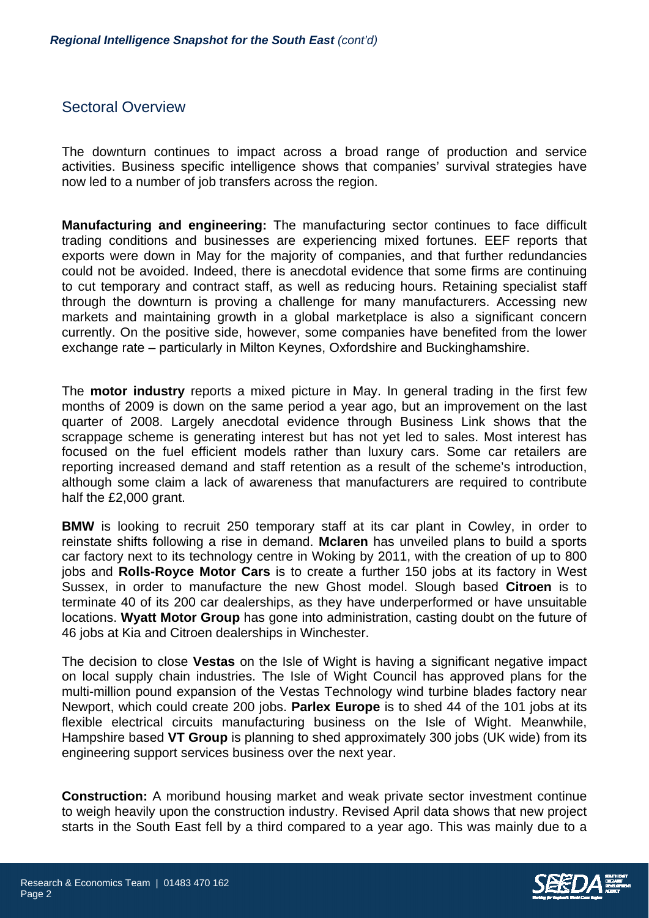## Sectoral Overview

The downturn continues to impact across a broad range of production and service activities. Business specific intelligence shows that companies' survival strategies have now led to a number of job transfers across the region.

**Manufacturing and engineering:** The manufacturing sector continues to face difficult trading conditions and businesses are experiencing mixed fortunes. EEF reports that exports were down in May for the majority of companies, and that further redundancies could not be avoided. Indeed, there is anecdotal evidence that some firms are continuing to cut temporary and contract staff, as well as reducing hours. Retaining specialist staff through the downturn is proving a challenge for many manufacturers. Accessing new markets and maintaining growth in a global marketplace is also a significant concern currently. On the positive side, however, some companies have benefited from the lower exchange rate – particularly in Milton Keynes, Oxfordshire and Buckinghamshire.

The **motor industry** reports a mixed picture in May. In general trading in the first few months of 2009 is down on the same period a year ago, but an improvement on the last quarter of 2008. Largely anecdotal evidence through Business Link shows that the scrappage scheme is generating interest but has not yet led to sales. Most interest has focused on the fuel efficient models rather than luxury cars. Some car retailers are reporting increased demand and staff retention as a result of the scheme's introduction, although some claim a lack of awareness that manufacturers are required to contribute half the £2,000 grant.

**BMW** is looking to recruit 250 temporary staff at its car plant in Cowley, in order to reinstate shifts following a rise in demand. **Mclaren** has unveiled plans to build a sports car factory next to its technology centre in Woking by 2011, with the creation of up to 800 jobs and **Rolls-Royce Motor Cars** is to create a further 150 jobs at its factory in West Sussex, in order to manufacture the new Ghost model. Slough based **Citroen** is to terminate 40 of its 200 car dealerships, as they have underperformed or have unsuitable locations. **Wyatt Motor Group** has gone into administration, casting doubt on the future of 46 jobs at Kia and Citroen dealerships in Winchester.

The decision to close **Vestas** on the Isle of Wight is having a significant negative impact on local supply chain industries. The Isle of Wight Council has approved plans for the multi-million pound expansion of the Vestas Technology wind turbine blades factory near Newport, which could create 200 jobs. **Parlex Europe** is to shed 44 of the 101 jobs at its flexible electrical circuits manufacturing business on the Isle of Wight. Meanwhile, Hampshire based **VT Group** is planning to shed approximately 300 jobs (UK wide) from its engineering support services business over the next year.

**Construction:** A moribund housing market and weak private sector investment continue to weigh heavily upon the construction industry. Revised April data shows that new project starts in the South East fell by a third compared to a year ago. This was mainly due to a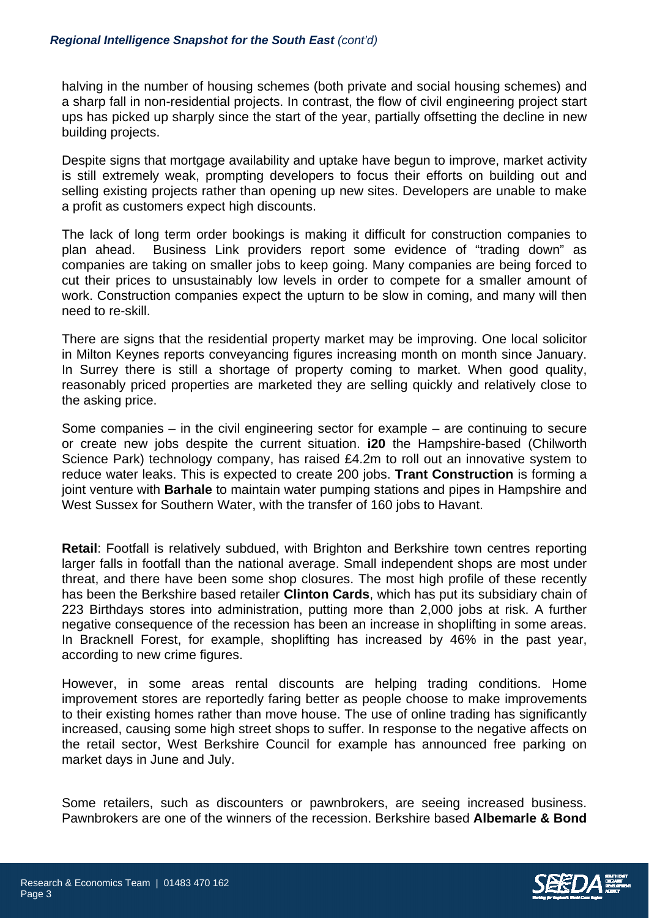halving in the number of housing schemes (both private and social housing schemes) and a sharp fall in non-residential projects. In contrast, the flow of civil engineering project start ups has picked up sharply since the start of the year, partially offsetting the decline in new building projects.

Despite signs that mortgage availability and uptake have begun to improve, market activity is still extremely weak, prompting developers to focus their efforts on building out and selling existing projects rather than opening up new sites. Developers are unable to make a profit as customers expect high discounts.

The lack of long term order bookings is making it difficult for construction companies to plan ahead. Business Link providers report some evidence of "trading down" as companies are taking on smaller jobs to keep going. Many companies are being forced to cut their prices to unsustainably low levels in order to compete for a smaller amount of work. Construction companies expect the upturn to be slow in coming, and many will then need to re-skill.

There are signs that the residential property market may be improving. One local solicitor in Milton Keynes reports conveyancing figures increasing month on month since January. In Surrey there is still a shortage of property coming to market. When good quality, reasonably priced properties are marketed they are selling quickly and relatively close to the asking price.

Some companies – in the civil engineering sector for example – are continuing to secure or create new jobs despite the current situation. **i20** the Hampshire-based (Chilworth Science Park) technology company, has raised £4.2m to roll out an innovative system to reduce water leaks. This is expected to create 200 jobs. **Trant Construction** is forming a joint venture with **Barhale** to maintain water pumping stations and pipes in Hampshire and West Sussex for Southern Water, with the transfer of 160 jobs to Havant.

**Retail**: Footfall is relatively subdued, with Brighton and Berkshire town centres reporting larger falls in footfall than the national average. Small independent shops are most under threat, and there have been some shop closures. The most high profile of these recently has been the Berkshire based retailer **Clinton Cards**, which has put its subsidiary chain of 223 Birthdays stores into administration, putting more than 2,000 jobs at risk. A further negative consequence of the recession has been an increase in shoplifting in some areas. In Bracknell Forest, for example, shoplifting has increased by 46% in the past year, according to new crime figures.

However, in some areas rental discounts are helping trading conditions. Home improvement stores are reportedly faring better as people choose to make improvements to their existing homes rather than move house. The use of online trading has significantly increased, causing some high street shops to suffer. In response to the negative affects on the retail sector, West Berkshire Council for example has announced free parking on market days in June and July.

Some retailers, such as discounters or pawnbrokers, are seeing increased business. Pawnbrokers are one of the winners of the recession. Berkshire based **Albemarle & Bond**

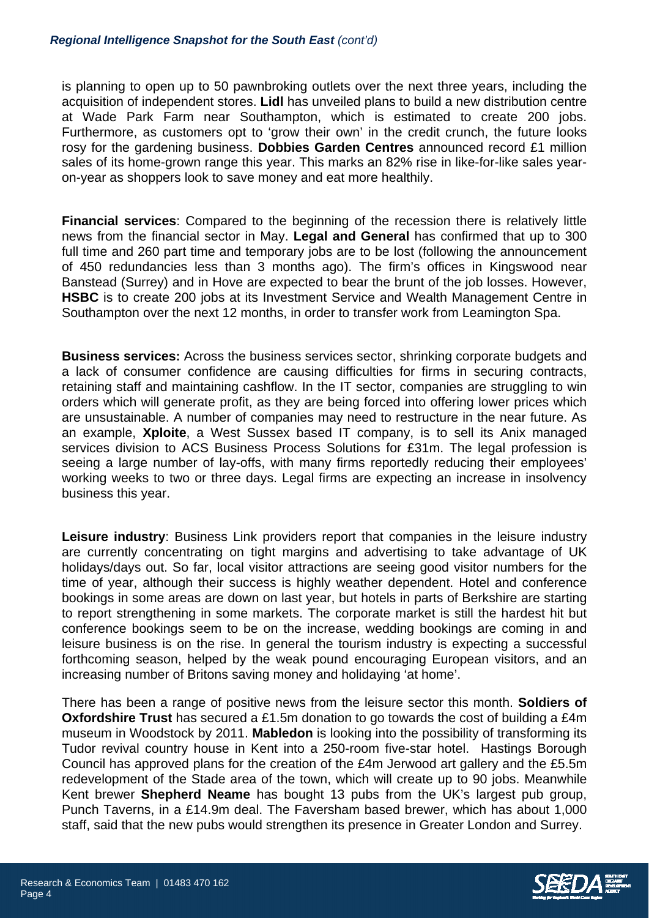is planning to open up to 50 pawnbroking outlets over the next three years, including the acquisition of independent stores. **Lidl** has unveiled plans to build a new distribution centre at Wade Park Farm near Southampton, which is estimated to create 200 jobs. Furthermore, as customers opt to 'grow their own' in the credit crunch, the future looks rosy for the gardening business. **Dobbies Garden Centres** announced record £1 million sales of its home-grown range this year. This marks an 82% rise in like-for-like sales yearon-year as shoppers look to save money and eat more healthily.

**Financial services**: Compared to the beginning of the recession there is relatively little news from the financial sector in May. **Legal and General** has confirmed that up to 300 full time and 260 part time and temporary jobs are to be lost (following the announcement of 450 redundancies less than 3 months ago). The firm's offices in Kingswood near Banstead (Surrey) and in Hove are expected to bear the brunt of the job losses. However, **HSBC** is to create 200 jobs at its Investment Service and Wealth Management Centre in Southampton over the next 12 months, in order to transfer work from Leamington Spa.

**Business services:** Across the business services sector, shrinking corporate budgets and a lack of consumer confidence are causing difficulties for firms in securing contracts, retaining staff and maintaining cashflow. In the IT sector, companies are struggling to win orders which will generate profit, as they are being forced into offering lower prices which are unsustainable. A number of companies may need to restructure in the near future. As an example, **Xploite**, a West Sussex based IT company, is to sell its Anix managed services division to ACS Business Process Solutions for £31m. The legal profession is seeing a large number of lay-offs, with many firms reportedly reducing their employees' working weeks to two or three days. Legal firms are expecting an increase in insolvency business this year.

**Leisure industry**: Business Link providers report that companies in the leisure industry are currently concentrating on tight margins and advertising to take advantage of UK holidays/days out. So far, local visitor attractions are seeing good visitor numbers for the time of year, although their success is highly weather dependent. Hotel and conference bookings in some areas are down on last year, but hotels in parts of Berkshire are starting to report strengthening in some markets. The corporate market is still the hardest hit but conference bookings seem to be on the increase, wedding bookings are coming in and leisure business is on the rise. In general the tourism industry is expecting a successful forthcoming season, helped by the weak pound encouraging European visitors, and an increasing number of Britons saving money and holidaying 'at home'.

There has been a range of positive news from the leisure sector this month. **Soldiers of Oxfordshire Trust** has secured a £1.5m donation to go towards the cost of building a £4m museum in Woodstock by 2011. **Mabledon** is looking into the possibility of transforming its Tudor revival country house in Kent into a 250-room five-star hotel. Hastings Borough Council has approved plans for the creation of the £4m Jerwood art gallery and the £5.5m redevelopment of the Stade area of the town, which will create up to 90 jobs. Meanwhile Kent brewer **Shepherd Neame** has bought 13 pubs from the UK's largest pub group, Punch Taverns, in a £14.9m deal. The Faversham based brewer, which has about 1,000 staff, said that the new pubs would strengthen its presence in Greater London and Surrey.

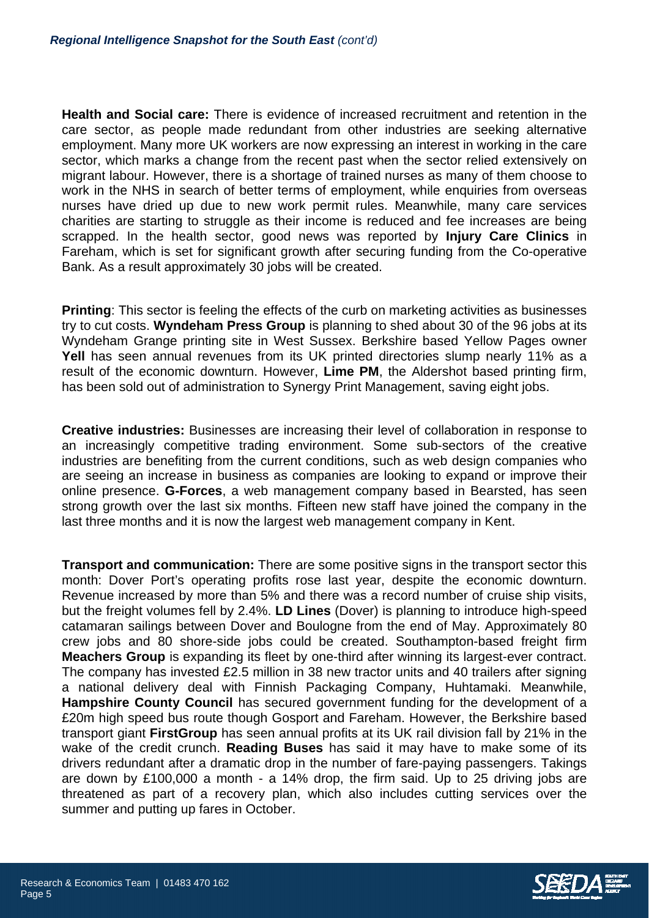**Health and Social care:** There is evidence of increased recruitment and retention in the care sector, as people made redundant from other industries are seeking alternative employment. Many more UK workers are now expressing an interest in working in the care sector, which marks a change from the recent past when the sector relied extensively on migrant labour. However, there is a shortage of trained nurses as many of them choose to work in the NHS in search of better terms of employment, while enquiries from overseas nurses have dried up due to new work permit rules. Meanwhile, many care services charities are starting to struggle as their income is reduced and fee increases are being scrapped. In the health sector, good news was reported by **Injury Care Clinics** in Fareham, which is set for significant growth after securing funding from the Co-operative Bank. As a result approximately 30 jobs will be created.

**Printing:** This sector is feeling the effects of the curb on marketing activities as businesses try to cut costs. **Wyndeham Press Group** is planning to shed about 30 of the 96 jobs at its Wyndeham Grange printing site in West Sussex. Berkshire based Yellow Pages owner **Yell** has seen annual revenues from its UK printed directories slump nearly 11% as a result of the economic downturn. However, **Lime PM**, the Aldershot based printing firm, has been sold out of administration to Synergy Print Management, saving eight jobs.

**Creative industries:** Businesses are increasing their level of collaboration in response to an increasingly competitive trading environment. Some sub-sectors of the creative industries are benefiting from the current conditions, such as web design companies who are seeing an increase in business as companies are looking to expand or improve their online presence. **G-Forces**, a web management company based in Bearsted, has seen strong growth over the last six months. Fifteen new staff have joined the company in the last three months and it is now the largest web management company in Kent.

**Transport and communication:** There are some positive signs in the transport sector this month: Dover Port's operating profits rose last year, despite the economic downturn. Revenue increased by more than 5% and there was a record number of cruise ship visits, but the freight volumes fell by 2.4%. **LD Lines** (Dover) is planning to introduce high-speed catamaran sailings between Dover and Boulogne from the end of May. Approximately 80 crew jobs and 80 shore-side jobs could be created. Southampton-based freight firm **Meachers Group** is expanding its fleet by one-third after winning its largest-ever contract. The company has invested £2.5 million in 38 new tractor units and 40 trailers after signing a national delivery deal with Finnish Packaging Company, Huhtamaki. Meanwhile, **Hampshire County Council** has secured government funding for the development of a £20m high speed bus route though Gosport and Fareham. However, the Berkshire based transport giant **FirstGroup** has seen annual profits at its UK rail division fall by 21% in the wake of the credit crunch. **Reading Buses** has said it may have to make some of its drivers redundant after a dramatic drop in the number of fare-paying passengers. Takings are down by £100,000 a month - a 14% drop, the firm said. Up to 25 driving jobs are threatened as part of a recovery plan, which also includes cutting services over the summer and putting up fares in October.

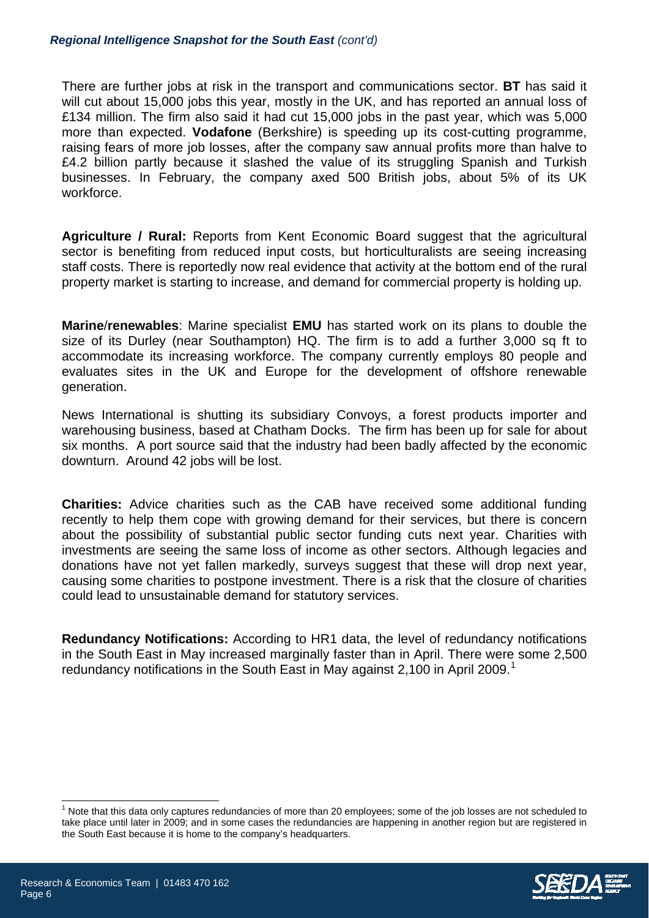There are further jobs at risk in the transport and communications sector. **BT** has said it will cut about 15,000 jobs this year, mostly in the UK, and has reported an annual loss of £134 million. The firm also said it had cut 15,000 jobs in the past year, which was 5,000 more than expected. **Vodafone** (Berkshire) is speeding up its cost-cutting programme, raising fears of more job losses, after the company saw annual profits more than halve to £4.2 billion partly because it slashed the value of its struggling Spanish and Turkish businesses. In February, the company axed 500 British jobs, about 5% of its UK workforce.

**Agriculture / Rural:** Reports from Kent Economic Board suggest that the agricultural sector is benefiting from reduced input costs, but horticulturalists are seeing increasing staff costs. There is reportedly now real evidence that activity at the bottom end of the rural property market is starting to increase, and demand for commercial property is holding up.

**Marine**/**renewables**: Marine specialist **EMU** has started work on its plans to double the size of its Durley (near Southampton) HQ. The firm is to add a further 3,000 sq ft to accommodate its increasing workforce. The company currently employs 80 people and evaluates sites in the UK and Europe for the development of offshore renewable generation.

News International is shutting its subsidiary Convoys, a forest products importer and warehousing business, based at Chatham Docks. The firm has been up for sale for about six months. A port source said that the industry had been badly affected by the economic downturn. Around 42 jobs will be lost.

**Charities:** Advice charities such as the CAB have received some additional funding recently to help them cope with growing demand for their services, but there is concern about the possibility of substantial public sector funding cuts next year. Charities with investments are seeing the same loss of income as other sectors. Although legacies and donations have not yet fallen markedly, surveys suggest that these will drop next year, causing some charities to postpone investment. There is a risk that the closure of charities could lead to unsustainable demand for statutory services.

**Redundancy Notifications:** According to HR1 data, the level of redundancy notifications in the South East in May increased marginally faster than in April. There were some 2,500 redundancy notifications in the South East in May against 2,[1](#page-5-0)00 in April 2009.<sup>1</sup>

<span id="page-5-0"></span> $1$  Note that this data only captures redundancies of more than 20 employees; some of the job losses are not scheduled to take place until later in 2009; and in some cases the redundancies are happening in another region but are registered in the South East because it is home to the company's headquarters.



 $\overline{\phantom{a}}$